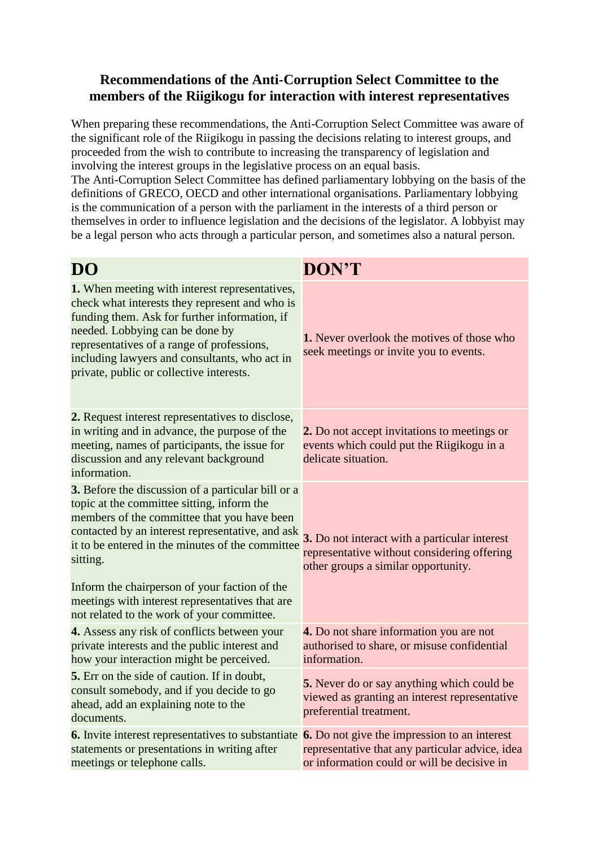## **Recommendations of the Anti-Corruption Select Committee to the members of the Riigikogu for interaction with interest representatives**

When preparing these recommendations, the Anti-Corruption Select Committee was aware of the significant role of the Riigikogu in passing the decisions relating to interest groups, and proceeded from the wish to contribute to increasing the transparency of legislation and involving the interest groups in the legislative process on an equal basis.

The Anti-Corruption Select Committee has defined parliamentary lobbying on the basis of the definitions of GRECO, OECD and other international organisations. Parliamentary lobbying is the communication of a person with the parliament in the interests of a third person or themselves in order to influence legislation and the decisions of the legislator. A lobbyist may be a legal person who acts through a particular person, and sometimes also a natural person.

| DO                                                                                                                                                                                                                                                                                                                              | DON'T                                                                                                                               |
|---------------------------------------------------------------------------------------------------------------------------------------------------------------------------------------------------------------------------------------------------------------------------------------------------------------------------------|-------------------------------------------------------------------------------------------------------------------------------------|
| 1. When meeting with interest representatives,<br>check what interests they represent and who is<br>funding them. Ask for further information, if<br>needed. Lobbying can be done by<br>representatives of a range of professions,<br>including lawyers and consultants, who act in<br>private, public or collective interests. | <b>1.</b> Never overlook the motives of those who<br>seek meetings or invite you to events.                                         |
| 2. Request interest representatives to disclose,<br>in writing and in advance, the purpose of the<br>meeting, names of participants, the issue for<br>discussion and any relevant background<br>information.                                                                                                                    | 2. Do not accept invitations to meetings or<br>events which could put the Riigikogu in a<br>delicate situation.                     |
| <b>3.</b> Before the discussion of a particular bill or a<br>topic at the committee sitting, inform the<br>members of the committee that you have been<br>contacted by an interest representative, and ask<br>it to be entered in the minutes of the committee<br>sitting.                                                      | 3. Do not interact with a particular interest<br>representative without considering offering<br>other groups a similar opportunity. |
| Inform the chairperson of your faction of the<br>meetings with interest representatives that are<br>not related to the work of your committee.                                                                                                                                                                                  |                                                                                                                                     |
| 4. Assess any risk of conflicts between your<br>private interests and the public interest and<br>how your interaction might be perceived.                                                                                                                                                                                       | 4. Do not share information you are not<br>authorised to share, or misuse confidential<br>information.                              |
| 5. Err on the side of caution. If in doubt,<br>consult somebody, and if you decide to go<br>ahead, add an explaining note to the<br>documents.                                                                                                                                                                                  | 5. Never do or say anything which could be<br>viewed as granting an interest representative<br>preferential treatment.              |
| <b>6.</b> Invite interest representatives to substantiate <b>6.</b> Do not give the impression to an interest<br>statements or presentations in writing after<br>meetings or telephone calls.                                                                                                                                   | representative that any particular advice, idea<br>or information could or will be decisive in                                      |